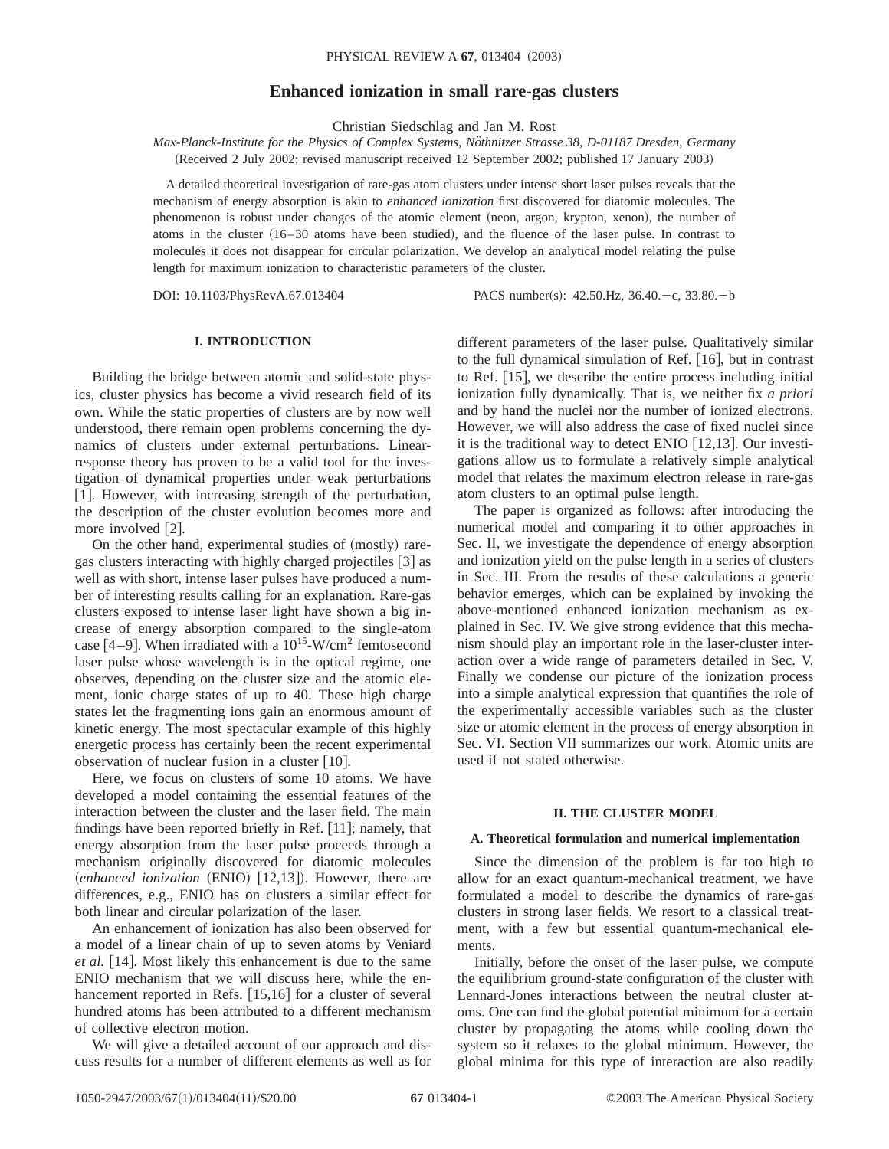# **Enhanced ionization in small rare-gas clusters**

Christian Siedschlag and Jan M. Rost

*Max-Planck-Institute for the Physics of Complex Systems, No¨thnitzer Strasse 38, D-01187 Dresden, Germany* (Received 2 July 2002; revised manuscript received 12 September 2002; published 17 January 2003)

A detailed theoretical investigation of rare-gas atom clusters under intense short laser pulses reveals that the mechanism of energy absorption is akin to *enhanced ionization* first discovered for diatomic molecules. The phenomenon is robust under changes of the atomic element (neon, argon, krypton, xenon), the number of atoms in the cluster  $(16–30)$  atoms have been studied), and the fluence of the laser pulse. In contrast to molecules it does not disappear for circular polarization. We develop an analytical model relating the pulse length for maximum ionization to characteristic parameters of the cluster.

DOI: 10.1103/PhysRevA.67.013404 PACS number(s): 42.50.Hz, 36.40.-c, 33.80.-b

# **I. INTRODUCTION**

Building the bridge between atomic and solid-state physics, cluster physics has become a vivid research field of its own. While the static properties of clusters are by now well understood, there remain open problems concerning the dynamics of clusters under external perturbations. Linearresponse theory has proven to be a valid tool for the investigation of dynamical properties under weak perturbations [1]. However, with increasing strength of the perturbation, the description of the cluster evolution becomes more and more involved  $[2]$ .

On the other hand, experimental studies of  $(mostly)$  raregas clusters interacting with highly charged projectiles  $\lceil 3 \rceil$  as well as with short, intense laser pulses have produced a number of interesting results calling for an explanation. Rare-gas clusters exposed to intense laser light have shown a big increase of energy absorption compared to the single-atom case [4–9]. When irradiated with a  $10^{15}$ -W/cm<sup>2</sup> femtosecond laser pulse whose wavelength is in the optical regime, one observes, depending on the cluster size and the atomic element, ionic charge states of up to 40. These high charge states let the fragmenting ions gain an enormous amount of kinetic energy. The most spectacular example of this highly energetic process has certainly been the recent experimental observation of nuclear fusion in a cluster  $[10]$ .

Here, we focus on clusters of some 10 atoms. We have developed a model containing the essential features of the interaction between the cluster and the laser field. The main findings have been reported briefly in Ref.  $[11]$ ; namely, that energy absorption from the laser pulse proceeds through a mechanism originally discovered for diatomic molecules (enhanced ionization (ENIO) [12,13]). However, there are differences, e.g., ENIO has on clusters a similar effect for both linear and circular polarization of the laser.

An enhancement of ionization has also been observed for a model of a linear chain of up to seven atoms by Veniard *et al.* [14]. Most likely this enhancement is due to the same ENIO mechanism that we will discuss here, while the enhancement reported in Refs.  $[15,16]$  for a cluster of several hundred atoms has been attributed to a different mechanism of collective electron motion.

We will give a detailed account of our approach and discuss results for a number of different elements as well as for different parameters of the laser pulse. Qualitatively similar to the full dynamical simulation of Ref.  $[16]$ , but in contrast to Ref.  $[15]$ , we describe the entire process including initial ionization fully dynamically. That is, we neither fix *a priori* and by hand the nuclei nor the number of ionized electrons. However, we will also address the case of fixed nuclei since it is the traditional way to detect ENIO  $[12,13]$ . Our investigations allow us to formulate a relatively simple analytical model that relates the maximum electron release in rare-gas atom clusters to an optimal pulse length.

The paper is organized as follows: after introducing the numerical model and comparing it to other approaches in Sec. II, we investigate the dependence of energy absorption and ionization yield on the pulse length in a series of clusters in Sec. III. From the results of these calculations a generic behavior emerges, which can be explained by invoking the above-mentioned enhanced ionization mechanism as explained in Sec. IV. We give strong evidence that this mechanism should play an important role in the laser-cluster interaction over a wide range of parameters detailed in Sec. V. Finally we condense our picture of the ionization process into a simple analytical expression that quantifies the role of the experimentally accessible variables such as the cluster size or atomic element in the process of energy absorption in Sec. VI. Section VII summarizes our work. Atomic units are used if not stated otherwise.

### **II. THE CLUSTER MODEL**

# **A. Theoretical formulation and numerical implementation**

Since the dimension of the problem is far too high to allow for an exact quantum-mechanical treatment, we have formulated a model to describe the dynamics of rare-gas clusters in strong laser fields. We resort to a classical treatment, with a few but essential quantum-mechanical elements.

Initially, before the onset of the laser pulse, we compute the equilibrium ground-state configuration of the cluster with Lennard-Jones interactions between the neutral cluster atoms. One can find the global potential minimum for a certain cluster by propagating the atoms while cooling down the system so it relaxes to the global minimum. However, the global minima for this type of interaction are also readily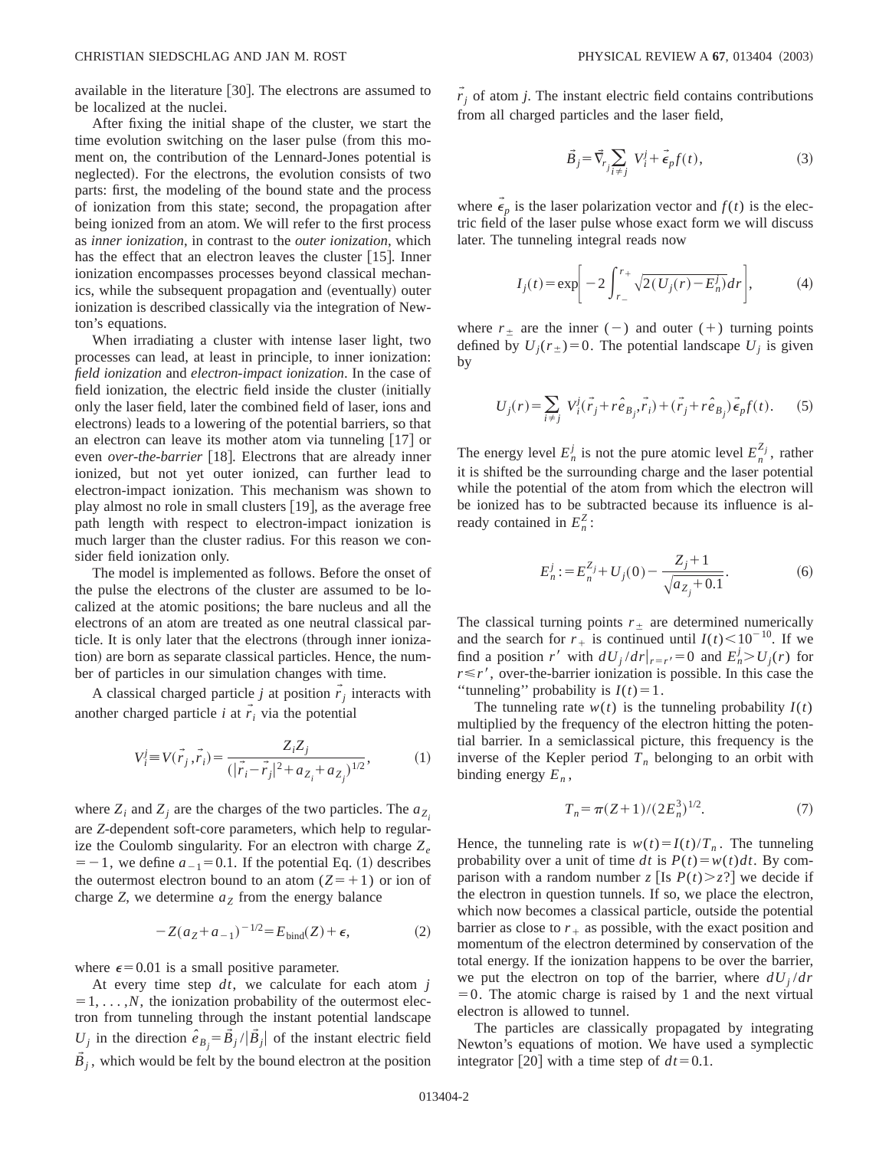available in the literature  $|30|$ . The electrons are assumed to be localized at the nuclei.

After fixing the initial shape of the cluster, we start the time evolution switching on the laser pulse (from this moment on, the contribution of the Lennard-Jones potential is neglected). For the electrons, the evolution consists of two parts: first, the modeling of the bound state and the process of ionization from this state; second, the propagation after being ionized from an atom. We will refer to the first process as *inner ionization*, in contrast to the *outer ionization*, which has the effect that an electron leaves the cluster  $[15]$ . Inner ionization encompasses processes beyond classical mechanics, while the subsequent propagation and (eventually) outer ionization is described classically via the integration of Newton's equations.

When irradiating a cluster with intense laser light, two processes can lead, at least in principle, to inner ionization: *field ionization* and *electron-impact ionization*. In the case of field ionization, the electric field inside the cluster (initially only the laser field, later the combined field of laser, ions and electrons) leads to a lowering of the potential barriers, so that an electron can leave its mother atom via tunneling  $[17]$  or even *over-the-barrier* [18]. Electrons that are already inner ionized, but not yet outer ionized, can further lead to electron-impact ionization. This mechanism was shown to play almost no role in small clusters  $[19]$ , as the average free path length with respect to electron-impact ionization is much larger than the cluster radius. For this reason we consider field ionization only.

The model is implemented as follows. Before the onset of the pulse the electrons of the cluster are assumed to be localized at the atomic positions; the bare nucleus and all the electrons of an atom are treated as one neutral classical particle. It is only later that the electrons (through inner ionization) are born as separate classical particles. Hence, the number of particles in our simulation changes with time.

A classical charged particle *j* at position  $\vec{r}_j$  interacts with another charged particle *i* at  $\vec{r}_i$  via the potential

$$
V_i^j \equiv V(\vec{r}_j, \vec{r}_i) = \frac{Z_i Z_j}{\left(|\vec{r}_i - \vec{r}_j|^2 + a_{Z_i} + a_{Z_j}\right)^{1/2}},\tag{1}
$$

where  $Z_i$  and  $Z_j$  are the charges of the two particles. The  $a_{Z_i}$ are *Z*-dependent soft-core parameters, which help to regularize the Coulomb singularity. For an electron with charge  $Z_e$  $=$  -1, we define  $a_{-1}$ =0.1. If the potential Eq. (1) describes the outermost electron bound to an atom  $(Z=+1)$  or ion of charge *Z*, we determine  $a<sub>Z</sub>$  from the energy balance

$$
-Z(a_Z + a_{-1})^{-1/2} = E_{\text{bind}}(Z) + \epsilon,
$$
 (2)

where  $\epsilon$ =0.01 is a small positive parameter.

At every time step *dt*, we calculate for each atom *j*  $=1, \ldots, N$ , the ionization probability of the outermost electron from tunneling through the instant potential landscape  $U_j$  in the direction  $\hat{e}_{B_j} = \vec{B}_j / |\vec{B}_j|$  of the instant electric field  $B_i$ , which would be felt by the bound electron at the position

 $\vec{r}_j$  of atom *j*. The instant electric field contains contributions from all charged particles and the laser field,

$$
\vec{B}_j = \vec{\nabla}_{r_j} \sum_{i \neq j} V_i^j + \vec{\epsilon}_{pf}(t), \tag{3}
$$

where  $\epsilon_p$  is the laser polarization vector and  $f(t)$  is the electric field of the laser pulse whose exact form we will discuss later. The tunneling integral reads now

$$
I_j(t) = \exp\bigg[-2\int_{r_-}^{r_+} \sqrt{2(U_j(r) - E_n^j)} dr\bigg],\tag{4}
$$

where  $r_{+}$  are the inner (-) and outer (+) turning points defined by  $U_i(r_{\pm})=0$ . The potential landscape  $U_i$  is given by

$$
U_j(r) = \sum_{i \neq j} V_i^j(\vec{r}_j + r\hat{e}_{B_j}, \vec{r}_i) + (\vec{r}_j + r\hat{e}_{B_j})\vec{\epsilon}_p f(t).
$$
 (5)

The energy level  $E_n^j$  is not the pure atomic level  $E_n^{Z_j}$ , rather it is shifted be the surrounding charge and the laser potential while the potential of the atom from which the electron will be ionized has to be subtracted because its influence is already contained in  $E_n^Z$ :

$$
E_n^j := E_n^{Z_j} + U_j(0) - \frac{Z_j + 1}{\sqrt{a_{Z_j} + 0.1}}.\tag{6}
$$

The classical turning points  $r<sub>±</sub>$  are determined numerically and the search for  $r_+$  is continued until  $I(t) < 10^{-10}$ . If we find a position *r'* with  $dU_j/dr|_{r=r'}=0$  and  $E_n^j > U_j(r)$  for  $r \leq r'$ , over-the-barrier ionization is possible. In this case the "tunneling" probability is  $I(t)=1$ .

The tunneling rate  $w(t)$  is the tunneling probability  $I(t)$ multiplied by the frequency of the electron hitting the potential barrier. In a semiclassical picture, this frequency is the inverse of the Kepler period  $T<sub>n</sub>$  belonging to an orbit with binding energy  $E_n$ ,

$$
T_n = \pi (Z+1)/(2E_n^3)^{1/2}.
$$
 (7)

Hence, the tunneling rate is  $w(t) = I(t)/T_n$ . The tunneling probability over a unit of time *dt* is  $P(t) = w(t)dt$ . By comparison with a random number *z* [Is  $P(t) > z$ ?] we decide if the electron in question tunnels. If so, we place the electron, which now becomes a classical particle, outside the potential barrier as close to  $r_{+}$  as possible, with the exact position and momentum of the electron determined by conservation of the total energy. If the ionization happens to be over the barrier, we put the electron on top of the barrier, where  $dU_i/dr$  $=0$ . The atomic charge is raised by 1 and the next virtual electron is allowed to tunnel.

The particles are classically propagated by integrating Newton's equations of motion. We have used a symplectic integrator [20] with a time step of  $dt=0.1$ .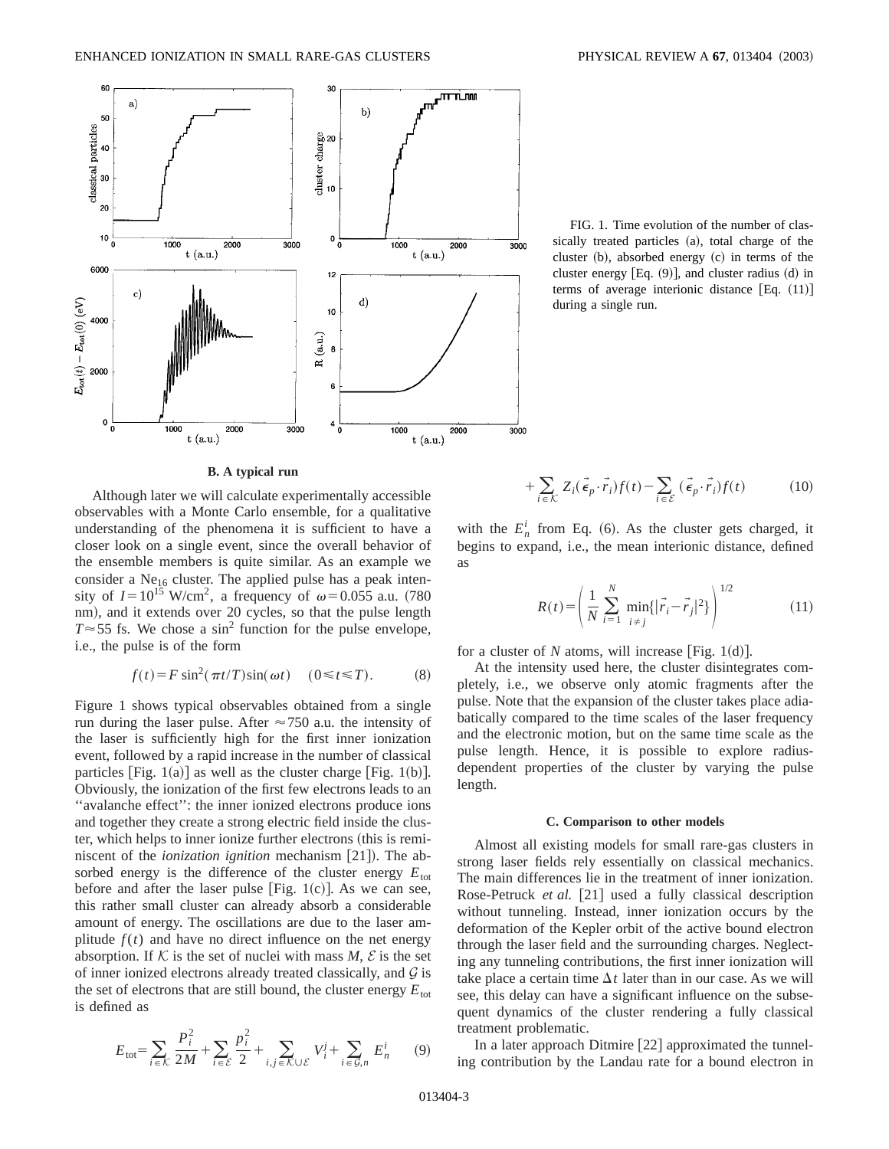

### **B. A typical run**

Although later we will calculate experimentally accessible observables with a Monte Carlo ensemble, for a qualitative understanding of the phenomena it is sufficient to have a closer look on a single event, since the overall behavior of the ensemble members is quite similar. As an example we consider a  $Ne_{16}$  cluster. The applied pulse has a peak intensity of  $I = 10^{15}$  W/cm<sup>2</sup>, a frequency of  $\omega = 0.055$  a.u. (780) nm), and it extends over 20 cycles, so that the pulse length  $T \approx 55$  fs. We chose a sin<sup>2</sup> function for the pulse envelope, i.e., the pulse is of the form

$$
f(t) = F \sin^2(\pi t/T) \sin(\omega t) \quad (0 \le t \le T). \tag{8}
$$

Figure 1 shows typical observables obtained from a single run during the laser pulse. After  $\approx 750$  a.u. the intensity of the laser is sufficiently high for the first inner ionization event, followed by a rapid increase in the number of classical particles [Fig. 1(a)] as well as the cluster charge [Fig. 1(b)]. Obviously, the ionization of the first few electrons leads to an "avalanche effect": the inner ionized electrons produce ions and together they create a strong electric field inside the cluster, which helps to inner ionize further electrons (this is reminiscent of the *ionization ignition* mechanism [21]). The absorbed energy is the difference of the cluster energy  $E_{\text{tot}}$ before and after the laser pulse [Fig.  $1(c)$ ]. As we can see, this rather small cluster can already absorb a considerable amount of energy. The oscillations are due to the laser amplitude  $f(t)$  and have no direct influence on the net energy absorption. If K is the set of nuclei with mass  $M$ ,  $\mathcal E$  is the set of inner ionized electrons already treated classically, and  $G$  is the set of electrons that are still bound, the cluster energy  $E_{\text{tot}}$ is defined as

$$
E_{\text{tot}} = \sum_{i \in \mathcal{K}} \frac{P_i^2}{2M} + \sum_{i \in \mathcal{E}} \frac{p_i^2}{2} + \sum_{i,j \in \mathcal{K} \cup \mathcal{E}} V_i^j + \sum_{i \in \mathcal{G}, n} E_n^i \qquad (9)
$$

FIG. 1. Time evolution of the number of classically treated particles (a), total charge of the cluster  $(b)$ , absorbed energy  $(c)$  in terms of the cluster energy  $[Eq. (9)]$ , and cluster radius (d) in terms of average interionic distance  $[Eq. (11)]$ during a single run.

$$
+\sum_{i\in\mathcal{K}}Z_{i}(\vec{\epsilon}_{p}\cdot\vec{r}_{i})f(t)-\sum_{i\in\mathcal{E}}(\vec{\epsilon}_{p}\cdot\vec{r}_{i})f(t) \qquad (10)
$$

with the  $E_n^i$  from Eq. (6). As the cluster gets charged, it begins to expand, i.e., the mean interionic distance, defined as

$$
R(t) = \left(\frac{1}{N} \sum_{i=1}^{N} \min_{i \neq j} \{|\vec{r}_i - \vec{r}_j|^2\}\right)^{1/2}
$$
 (11)

for a cluster of *N* atoms, will increase [Fig. 1(d)].

At the intensity used here, the cluster disintegrates completely, i.e., we observe only atomic fragments after the pulse. Note that the expansion of the cluster takes place adiabatically compared to the time scales of the laser frequency and the electronic motion, but on the same time scale as the pulse length. Hence, it is possible to explore radiusdependent properties of the cluster by varying the pulse length.

# **C. Comparison to other models**

Almost all existing models for small rare-gas clusters in strong laser fields rely essentially on classical mechanics. The main differences lie in the treatment of inner ionization. Rose-Petruck *et al.* [21] used a fully classical description without tunneling. Instead, inner ionization occurs by the deformation of the Kepler orbit of the active bound electron through the laser field and the surrounding charges. Neglecting any tunneling contributions, the first inner ionization will take place a certain time  $\Delta t$  later than in our case. As we will see, this delay can have a significant influence on the subsequent dynamics of the cluster rendering a fully classical treatment problematic.

In a later approach Ditmire  $[22]$  approximated the tunneling contribution by the Landau rate for a bound electron in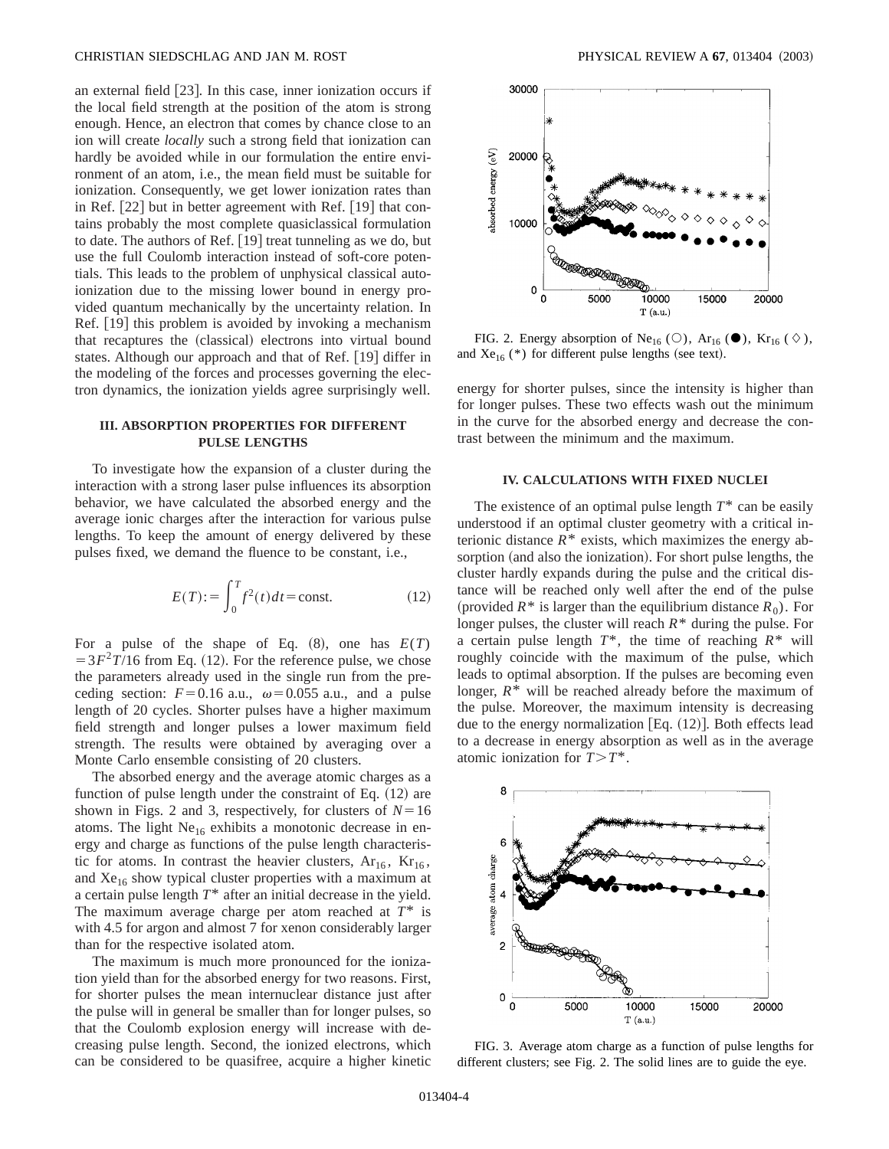an external field  $\left| 23 \right|$ . In this case, inner ionization occurs if the local field strength at the position of the atom is strong enough. Hence, an electron that comes by chance close to an ion will create *locally* such a strong field that ionization can hardly be avoided while in our formulation the entire environment of an atom, i.e., the mean field must be suitable for ionization. Consequently, we get lower ionization rates than in Ref.  $[22]$  but in better agreement with Ref.  $[19]$  that contains probably the most complete quasiclassical formulation to date. The authors of Ref.  $[19]$  treat tunneling as we do, but use the full Coulomb interaction instead of soft-core potentials. This leads to the problem of unphysical classical autoionization due to the missing lower bound in energy provided quantum mechanically by the uncertainty relation. In Ref.  $[19]$  this problem is avoided by invoking a mechanism that recaptures the (classical) electrons into virtual bound states. Although our approach and that of Ref.  $[19]$  differ in the modeling of the forces and processes governing the electron dynamics, the ionization yields agree surprisingly well.

## **III. ABSORPTION PROPERTIES FOR DIFFERENT PULSE LENGTHS**

To investigate how the expansion of a cluster during the interaction with a strong laser pulse influences its absorption behavior, we have calculated the absorbed energy and the average ionic charges after the interaction for various pulse lengths. To keep the amount of energy delivered by these pulses fixed, we demand the fluence to be constant, i.e.,

$$
E(T) := \int_0^T f^2(t)dt = \text{const.}
$$
 (12)

For a pulse of the shape of Eq.  $(8)$ , one has  $E(T)$  $=3F<sup>2</sup>T/16$  from Eq. (12). For the reference pulse, we chose the parameters already used in the single run from the preceding section:  $F=0.16$  a.u.,  $\omega=0.055$  a.u., and a pulse length of 20 cycles. Shorter pulses have a higher maximum field strength and longer pulses a lower maximum field strength. The results were obtained by averaging over a Monte Carlo ensemble consisting of 20 clusters.

The absorbed energy and the average atomic charges as a function of pulse length under the constraint of Eq.  $(12)$  are shown in Figs. 2 and 3, respectively, for clusters of  $N=16$ atoms. The light  $Ne<sub>16</sub>$  exhibits a monotonic decrease in energy and charge as functions of the pulse length characteristic for atoms. In contrast the heavier clusters,  $Ar_{16}$ ,  $Kr_{16}$ , and  $Xe_{16}$  show typical cluster properties with a maximum at a certain pulse length *T*\* after an initial decrease in the yield. The maximum average charge per atom reached at *T*\* is with 4.5 for argon and almost 7 for xenon considerably larger than for the respective isolated atom.

The maximum is much more pronounced for the ionization yield than for the absorbed energy for two reasons. First, for shorter pulses the mean internuclear distance just after the pulse will in general be smaller than for longer pulses, so that the Coulomb explosion energy will increase with decreasing pulse length. Second, the ionized electrons, which can be considered to be quasifree, acquire a higher kinetic



FIG. 2. Energy absorption of Ne<sub>16</sub> (O), Ar<sub>16</sub> ( $\bullet$ ), Kr<sub>16</sub> ( $\diamond$ ), and  $Xe_{16}$  (\*) for different pulse lengths (see text).

energy for shorter pulses, since the intensity is higher than for longer pulses. These two effects wash out the minimum in the curve for the absorbed energy and decrease the contrast between the minimum and the maximum.

# **IV. CALCULATIONS WITH FIXED NUCLEI**

The existence of an optimal pulse length *T*\* can be easily understood if an optimal cluster geometry with a critical interionic distance  $R^*$  exists, which maximizes the energy absorption (and also the ionization). For short pulse lengths, the cluster hardly expands during the pulse and the critical distance will be reached only well after the end of the pulse (provided  $R^*$  is larger than the equilibrium distance  $R_0$ ). For longer pulses, the cluster will reach *R*\* during the pulse. For a certain pulse length  $T^*$ , the time of reaching  $R^*$  will roughly coincide with the maximum of the pulse, which leads to optimal absorption. If the pulses are becoming even longer,  $R^*$  will be reached already before the maximum of the pulse. Moreover, the maximum intensity is decreasing due to the energy normalization  $[Eq. (12)]$ . Both effects lead to a decrease in energy absorption as well as in the average atomic ionization for  $T>T^*$ .



FIG. 3. Average atom charge as a function of pulse lengths for different clusters; see Fig. 2. The solid lines are to guide the eye.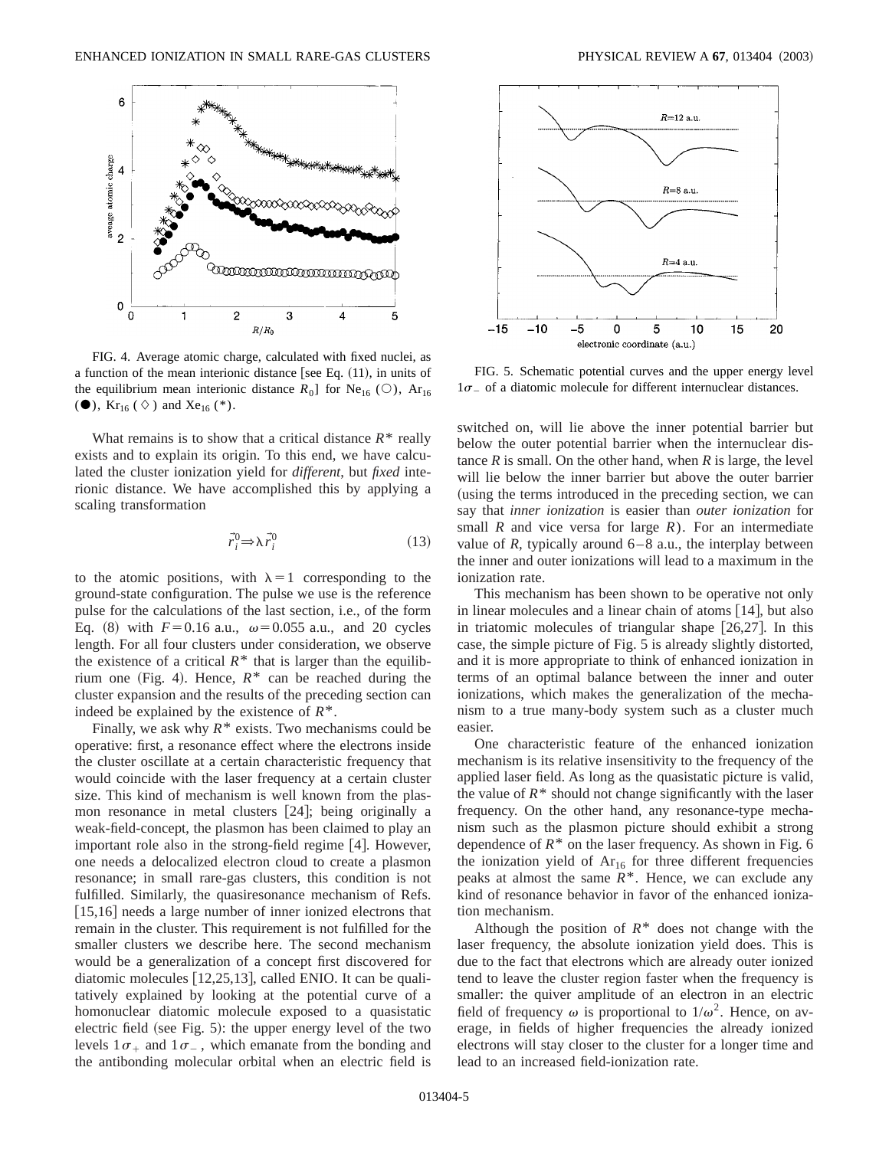

FIG. 4. Average atomic charge, calculated with fixed nuclei, as a function of the mean interionic distance [see Eq.  $(11)$ , in units of the equilibrium mean interionic distance  $R_0$ ] for Ne<sub>16</sub> (O), Ar<sub>16</sub> ( $\bullet$ ), Kr<sub>16</sub> ( $\lozenge$ ) and Xe<sub>16</sub> (\*).

What remains is to show that a critical distance  $R^*$  really exists and to explain its origin. To this end, we have calculated the cluster ionization yield for *different*, but *fixed* interionic distance. We have accomplished this by applying a scaling transformation

$$
\vec{r}_i^0 \Rightarrow \lambda \vec{r}_i^0 \tag{13}
$$

to the atomic positions, with  $\lambda=1$  corresponding to the ground-state configuration. The pulse we use is the reference pulse for the calculations of the last section, i.e., of the form Eq. (8) with  $F=0.16$  a.u.,  $\omega=0.055$  a.u., and 20 cycles length. For all four clusters under consideration, we observe the existence of a critical  $R^*$  that is larger than the equilibrium one (Fig. 4). Hence,  $R^*$  can be reached during the cluster expansion and the results of the preceding section can indeed be explained by the existence of *R*\*.

Finally, we ask why  $R^*$  exists. Two mechanisms could be operative: first, a resonance effect where the electrons inside the cluster oscillate at a certain characteristic frequency that would coincide with the laser frequency at a certain cluster size. This kind of mechanism is well known from the plasmon resonance in metal clusters  $[24]$ ; being originally a weak-field-concept, the plasmon has been claimed to play an important role also in the strong-field regime  $[4]$ . However, one needs a delocalized electron cloud to create a plasmon resonance; in small rare-gas clusters, this condition is not fulfilled. Similarly, the quasiresonance mechanism of Refs.  $[15,16]$  needs a large number of inner ionized electrons that remain in the cluster. This requirement is not fulfilled for the smaller clusters we describe here. The second mechanism would be a generalization of a concept first discovered for diatomic molecules  $[12,25,13]$ , called ENIO. It can be qualitatively explained by looking at the potential curve of a homonuclear diatomic molecule exposed to a quasistatic electric field (see Fig. 5): the upper energy level of the two levels  $1\sigma_+$  and  $1\sigma_-$ , which emanate from the bonding and the antibonding molecular orbital when an electric field is



FIG. 5. Schematic potential curves and the upper energy level  $1\sigma$  of a diatomic molecule for different internuclear distances.

switched on, will lie above the inner potential barrier but below the outer potential barrier when the internuclear distance  $R$  is small. On the other hand, when  $R$  is large, the level will lie below the inner barrier but above the outer barrier (using the terms introduced in the preceding section, we can say that *inner ionization* is easier than *outer ionization* for small *R* and vice versa for large *R*). For an intermediate value of  $R$ , typically around  $6-8$  a.u., the interplay between the inner and outer ionizations will lead to a maximum in the ionization rate.

This mechanism has been shown to be operative not only in linear molecules and a linear chain of atoms  $[14]$ , but also in triatomic molecules of triangular shape  $[26,27]$ . In this case, the simple picture of Fig. 5 is already slightly distorted, and it is more appropriate to think of enhanced ionization in terms of an optimal balance between the inner and outer ionizations, which makes the generalization of the mechanism to a true many-body system such as a cluster much easier.

One characteristic feature of the enhanced ionization mechanism is its relative insensitivity to the frequency of the applied laser field. As long as the quasistatic picture is valid, the value of  $R^*$  should not change significantly with the laser frequency. On the other hand, any resonance-type mechanism such as the plasmon picture should exhibit a strong dependence of  $R^*$  on the laser frequency. As shown in Fig. 6 the ionization yield of  $Ar_{16}$  for three different frequencies peaks at almost the same *R*\*. Hence, we can exclude any kind of resonance behavior in favor of the enhanced ionization mechanism.

Although the position of  $R^*$  does not change with the laser frequency, the absolute ionization yield does. This is due to the fact that electrons which are already outer ionized tend to leave the cluster region faster when the frequency is smaller: the quiver amplitude of an electron in an electric field of frequency  $\omega$  is proportional to  $1/\omega^2$ . Hence, on average, in fields of higher frequencies the already ionized electrons will stay closer to the cluster for a longer time and lead to an increased field-ionization rate.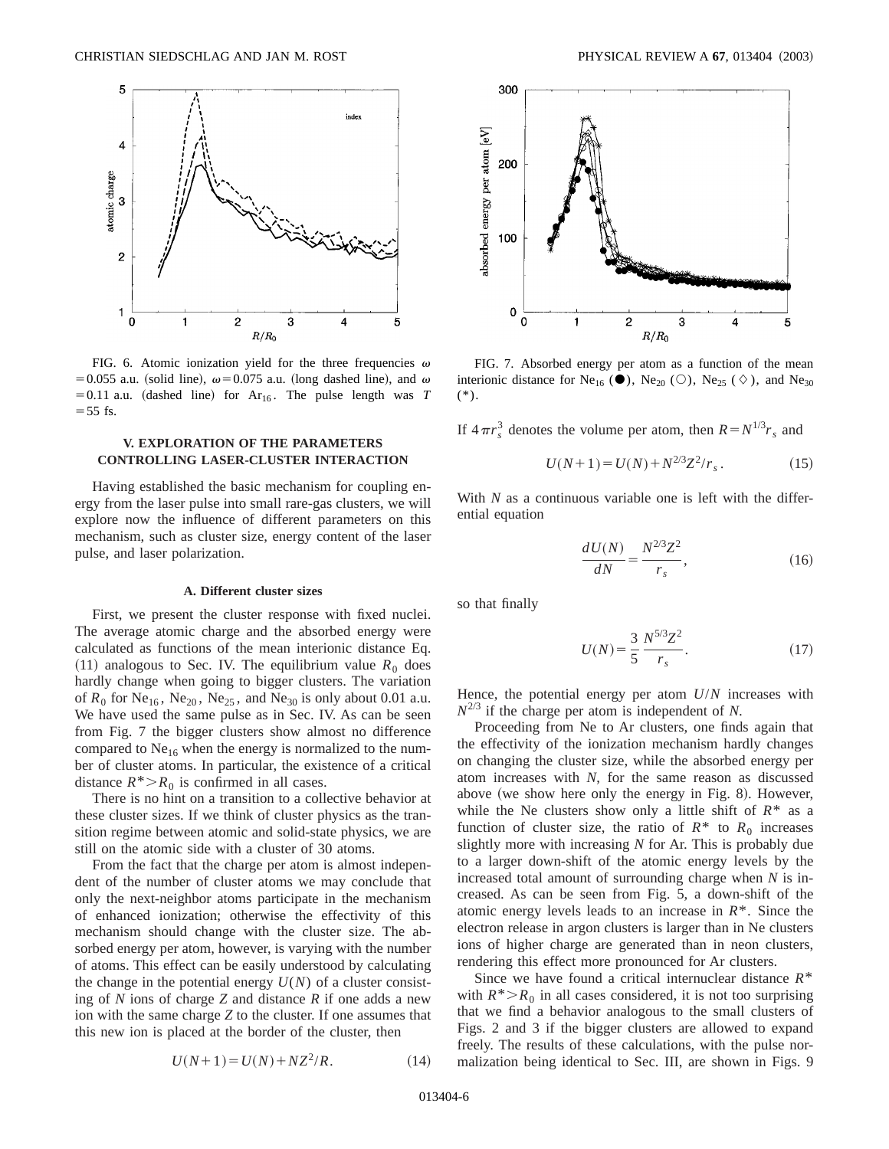

FIG. 6. Atomic ionization yield for the three frequencies  $\omega$  $=0.055$  a.u. (solid line),  $\omega=0.075$  a.u. (long dashed line), and  $\omega$  $=0.11$  a.u. (dashed line) for Ar<sub>16</sub>. The pulse length was *T*  $=$  55 fs.

### **V. EXPLORATION OF THE PARAMETERS CONTROLLING LASER-CLUSTER INTERACTION**

Having established the basic mechanism for coupling energy from the laser pulse into small rare-gas clusters, we will explore now the influence of different parameters on this mechanism, such as cluster size, energy content of the laser pulse, and laser polarization.

### **A. Different cluster sizes**

First, we present the cluster response with fixed nuclei. The average atomic charge and the absorbed energy were calculated as functions of the mean interionic distance Eq.  $(11)$  analogous to Sec. IV. The equilibrium value  $R_0$  does hardly change when going to bigger clusters. The variation of  $R_0$  for Ne<sub>16</sub>, Ne<sub>20</sub>, Ne<sub>25</sub>, and Ne<sub>30</sub> is only about 0.01 a.u. We have used the same pulse as in Sec. IV. As can be seen from Fig. 7 the bigger clusters show almost no difference compared to  $Ne_{16}$  when the energy is normalized to the number of cluster atoms. In particular, the existence of a critical distance  $R^* > R_0$  is confirmed in all cases.

There is no hint on a transition to a collective behavior at these cluster sizes. If we think of cluster physics as the transition regime between atomic and solid-state physics, we are still on the atomic side with a cluster of 30 atoms.

From the fact that the charge per atom is almost independent of the number of cluster atoms we may conclude that only the next-neighbor atoms participate in the mechanism of enhanced ionization; otherwise the effectivity of this mechanism should change with the cluster size. The absorbed energy per atom, however, is varying with the number of atoms. This effect can be easily understood by calculating the change in the potential energy  $U(N)$  of a cluster consisting of *N* ions of charge *Z* and distance *R* if one adds a new ion with the same charge *Z* to the cluster. If one assumes that this new ion is placed at the border of the cluster, then



FIG. 7. Absorbed energy per atom as a function of the mean interionic distance for Ne<sub>16</sub> ( $\bullet$ ), Ne<sub>20</sub> ( $\circ$ ), Ne<sub>25</sub> ( $\diamond$ ), and Ne<sub>30</sub> (\*).

If  $4\pi r_s^3$  denotes the volume per atom, then  $R = N^{1/3}r_s$  and

$$
U(N+1) = U(N) + N^{2/3} Z^2 / r_s. \tag{15}
$$

With *N* as a continuous variable one is left with the differential equation

$$
\frac{dU(N)}{dN} = \frac{N^{2/3}Z^2}{r_s},\tag{16}
$$

so that finally

$$
U(N) = \frac{3}{5} \frac{N^{5/3} Z^2}{r_s}.
$$
 (17)

Hence, the potential energy per atom *U*/*N* increases with  $N^{2/3}$  if the charge per atom is independent of *N*.

Proceeding from Ne to Ar clusters, one finds again that the effectivity of the ionization mechanism hardly changes on changing the cluster size, while the absorbed energy per atom increases with *N*, for the same reason as discussed above (we show here only the energy in Fig. 8). However, while the Ne clusters show only a little shift of  $R^*$  as a function of cluster size, the ratio of  $R^*$  to  $R_0$  increases slightly more with increasing *N* for Ar. This is probably due to a larger down-shift of the atomic energy levels by the increased total amount of surrounding charge when *N* is increased. As can be seen from Fig. 5, a down-shift of the atomic energy levels leads to an increase in *R*\*. Since the electron release in argon clusters is larger than in Ne clusters ions of higher charge are generated than in neon clusters, rendering this effect more pronounced for Ar clusters.

Since we have found a critical internuclear distance *R*\* with  $R^* > R_0$  in all cases considered, it is not too surprising that we find a behavior analogous to the small clusters of Figs. 2 and 3 if the bigger clusters are allowed to expand freely. The results of these calculations, with the pulse normalization being identical to Sec. III, are shown in Figs. 9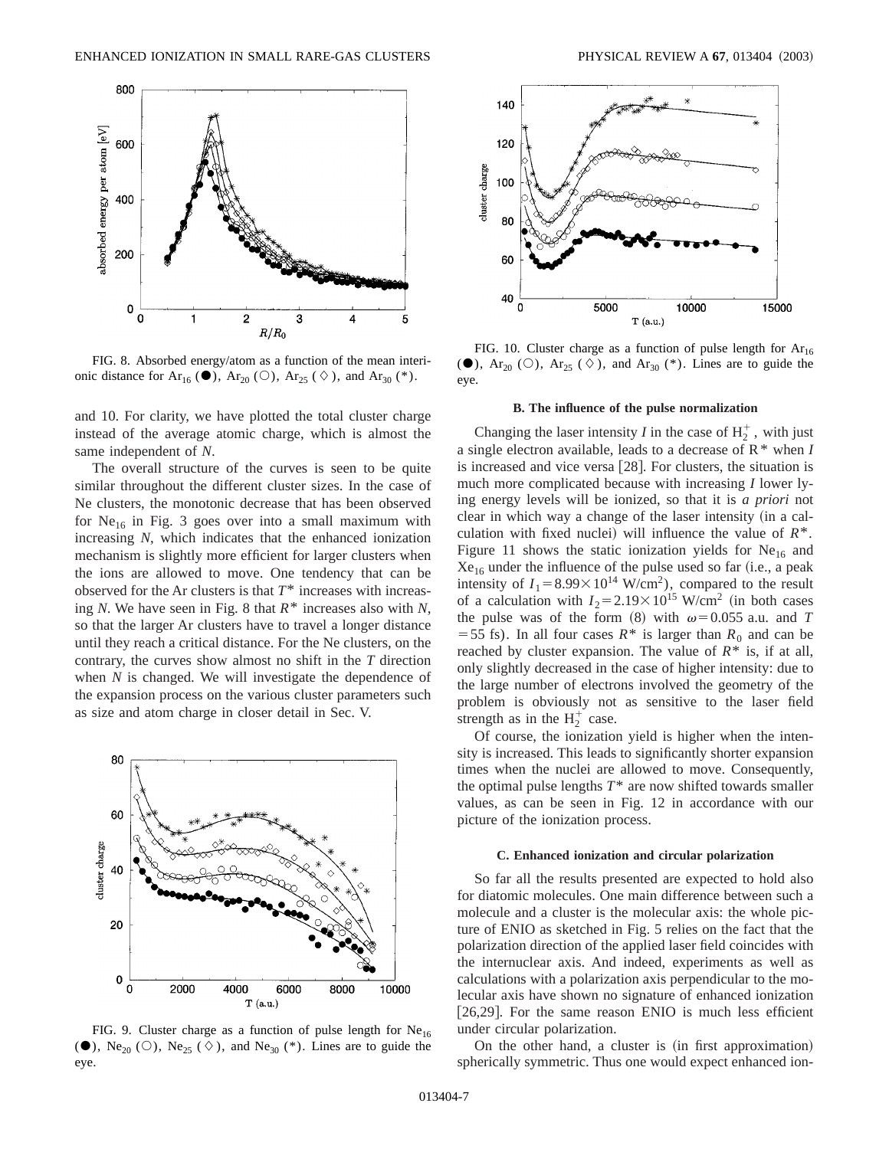

FIG. 8. Absorbed energy/atom as a function of the mean interionic distance for  $Ar_{16}$  ( $\bullet$ ),  $Ar_{20}$  ( $\circ$ ),  $Ar_{25}$  ( $\diamond$ ), and  $Ar_{30}$  (\*).

and 10. For clarity, we have plotted the total cluster charge instead of the average atomic charge, which is almost the same independent of *N*.

The overall structure of the curves is seen to be quite similar throughout the different cluster sizes. In the case of Ne clusters, the monotonic decrease that has been observed for  $Ne_{16}$  in Fig. 3 goes over into a small maximum with increasing *N*, which indicates that the enhanced ionization mechanism is slightly more efficient for larger clusters when the ions are allowed to move. One tendency that can be observed for the Ar clusters is that *T*\* increases with increasing *N*. We have seen in Fig. 8 that *R*\* increases also with *N*, so that the larger Ar clusters have to travel a longer distance until they reach a critical distance. For the Ne clusters, on the contrary, the curves show almost no shift in the *T* direction when *N* is changed. We will investigate the dependence of the expansion process on the various cluster parameters such as size and atom charge in closer detail in Sec. V.



FIG. 9. Cluster charge as a function of pulse length for  $Ne_{16}$ ( $\bullet$ ), Ne<sub>20</sub> ( $\circ$ ), Ne<sub>25</sub> ( $\diamond$ ), and Ne<sub>30</sub> (\*). Lines are to guide the eye.



FIG. 10. Cluster charge as a function of pulse length for  $Ar_{16}$ ( $\bullet$ ), Ar<sub>20</sub> ( $\circ$ ), Ar<sub>25</sub> ( $\diamond$ ), and Ar<sub>30</sub> (\*). Lines are to guide the eye.

### **B. The influence of the pulse normalization**

Changing the laser intensity *I* in the case of  $H_2^+$ , with just a single electron available, leads to a decrease of R\* when *I* is increased and vice versa  $[28]$ . For clusters, the situation is much more complicated because with increasing *I* lower lying energy levels will be ionized, so that it is *a priori* not clear in which way a change of the laser intensity (in a calculation with fixed nuclei) will influence the value of  $R^*$ . Figure 11 shows the static ionization yields for  $Ne_{16}$  and  $Xe_{16}$  under the influence of the pulse used so far (i.e., a peak intensity of  $I_1 = 8.99 \times 10^{14}$  W/cm<sup>2</sup>), compared to the result of a calculation with  $I_2 = 2.19 \times 10^{15}$  W/cm<sup>2</sup> (in both cases the pulse was of the form  $(8)$  with  $\omega$ =0.055 a.u. and *T* = 55 fs). In all four cases  $R^*$  is larger than  $R_0$  and can be reached by cluster expansion. The value of  $R^*$  is, if at all, only slightly decreased in the case of higher intensity: due to the large number of electrons involved the geometry of the problem is obviously not as sensitive to the laser field strength as in the  $H_2^+$  case.

Of course, the ionization yield is higher when the intensity is increased. This leads to significantly shorter expansion times when the nuclei are allowed to move. Consequently, the optimal pulse lengths  $T^*$  are now shifted towards smaller values, as can be seen in Fig. 12 in accordance with our picture of the ionization process.

### **C. Enhanced ionization and circular polarization**

So far all the results presented are expected to hold also for diatomic molecules. One main difference between such a molecule and a cluster is the molecular axis: the whole picture of ENIO as sketched in Fig. 5 relies on the fact that the polarization direction of the applied laser field coincides with the internuclear axis. And indeed, experiments as well as calculations with a polarization axis perpendicular to the molecular axis have shown no signature of enhanced ionization  $[26,29]$ . For the same reason ENIO is much less efficient under circular polarization.

On the other hand, a cluster is (in first approximation) spherically symmetric. Thus one would expect enhanced ion-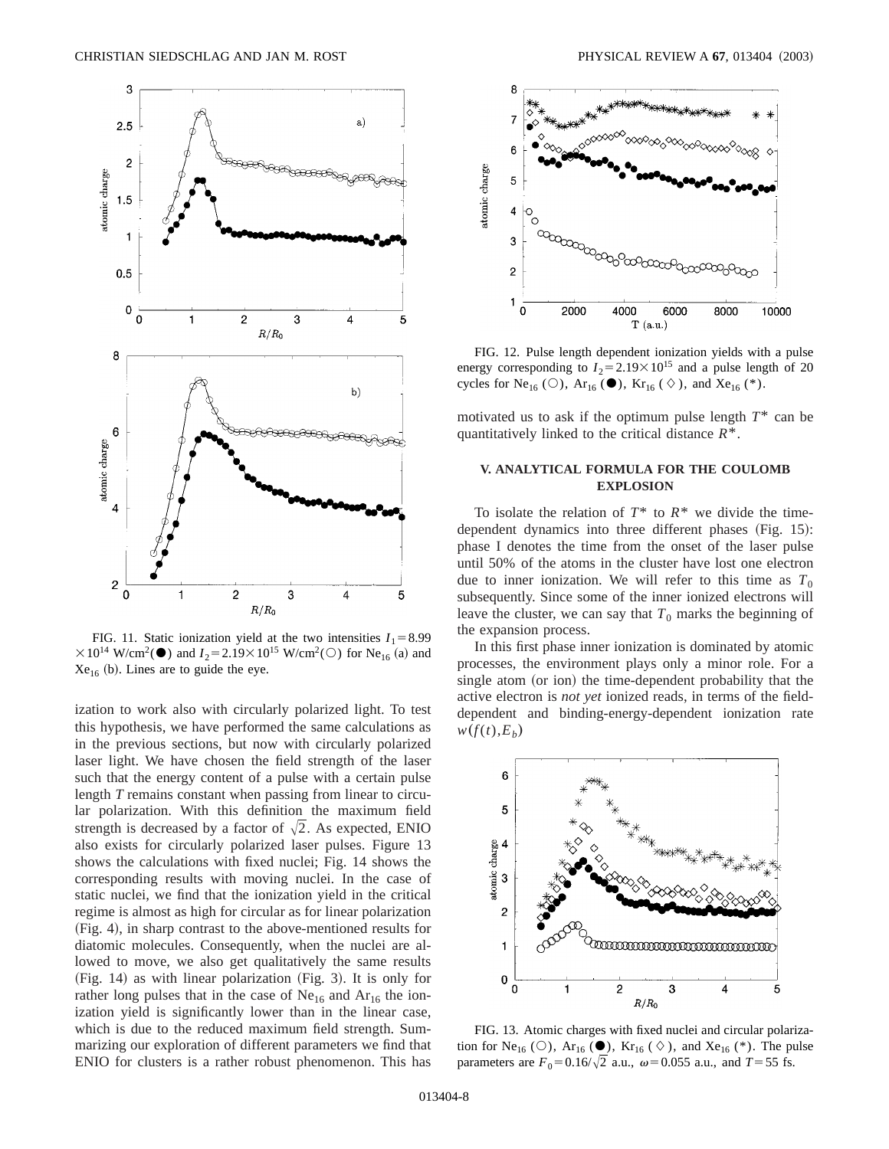

FIG. 11. Static ionization yield at the two intensities  $I_1 = 8.99$  $310^{14}$  W/cm<sup>2</sup>( $\bullet$ ) and *I*<sub>2</sub>=2.19×10<sup>15</sup> W/cm<sup>2</sup>( $\circ$ ) for Ne<sub>16</sub> (a) and  $Xe_{16}$  (b). Lines are to guide the eye.

ization to work also with circularly polarized light. To test this hypothesis, we have performed the same calculations as in the previous sections, but now with circularly polarized laser light. We have chosen the field strength of the laser such that the energy content of a pulse with a certain pulse length *T* remains constant when passing from linear to circular polarization. With this definition the maximum field strength is decreased by a factor of  $\sqrt{2}$ . As expected, ENIO also exists for circularly polarized laser pulses. Figure 13 shows the calculations with fixed nuclei; Fig. 14 shows the corresponding results with moving nuclei. In the case of static nuclei, we find that the ionization yield in the critical regime is almost as high for circular as for linear polarization  $(Fig. 4)$ , in sharp contrast to the above-mentioned results for diatomic molecules. Consequently, when the nuclei are allowed to move, we also get qualitatively the same results  $(Fig. 14)$  as with linear polarization  $(Fig. 3)$ . It is only for rather long pulses that in the case of  $Ne_{16}$  and  $Ar_{16}$  the ionization yield is significantly lower than in the linear case, which is due to the reduced maximum field strength. Summarizing our exploration of different parameters we find that ENIO for clusters is a rather robust phenomenon. This has



FIG. 12. Pulse length dependent ionization yields with a pulse energy corresponding to  $I_2 = 2.19 \times 10^{15}$  and a pulse length of 20 cycles for Ne<sub>16</sub> (O), Ar<sub>16</sub> ( $\bullet$ ), Kr<sub>16</sub> ( $\diamond$ ), and Xe<sub>16</sub> (\*).

motivated us to ask if the optimum pulse length *T*\* can be quantitatively linked to the critical distance *R*\*.

### **V. ANALYTICAL FORMULA FOR THE COULOMB EXPLOSION**

To isolate the relation of  $T^*$  to  $R^*$  we divide the timedependent dynamics into three different phases  $(Fig. 15)$ : phase I denotes the time from the onset of the laser pulse until 50% of the atoms in the cluster have lost one electron due to inner ionization. We will refer to this time as  $T_0$ subsequently. Since some of the inner ionized electrons will leave the cluster, we can say that  $T_0$  marks the beginning of the expansion process.

In this first phase inner ionization is dominated by atomic processes, the environment plays only a minor role. For a single atom (or ion) the time-dependent probability that the active electron is *not yet* ionized reads, in terms of the fielddependent and binding-energy-dependent ionization rate  $w(f(t),E_b)$ 



FIG. 13. Atomic charges with fixed nuclei and circular polarization for Ne<sub>16</sub> (O), Ar<sub>16</sub> ( $\bullet$ ), Kr<sub>16</sub> ( $\diamond$ ), and Xe<sub>16</sub> (\*). The pulse parameters are  $F_0 = 0.16/\sqrt{2}$  a.u.,  $\omega = 0.055$  a.u., and  $T = 55$  fs.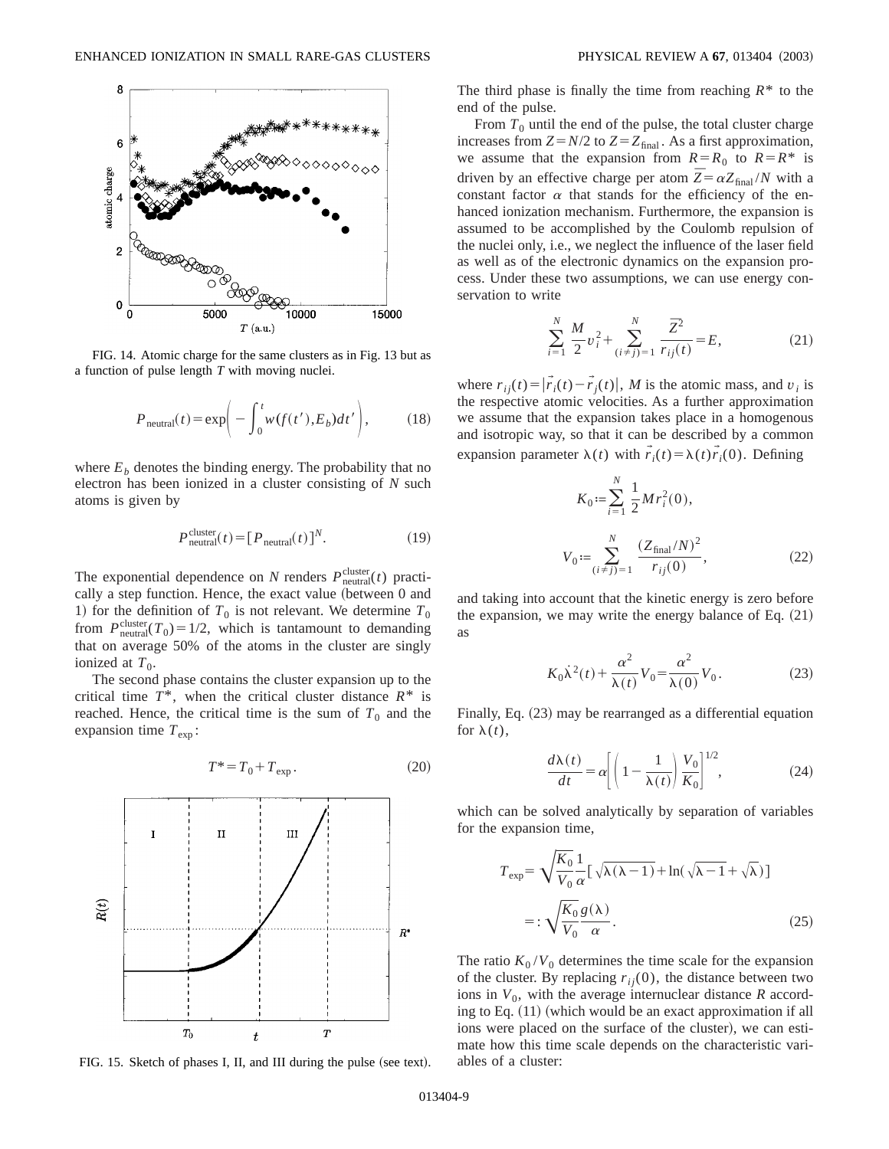

FIG. 14. Atomic charge for the same clusters as in Fig. 13 but as a function of pulse length *T* with moving nuclei.

$$
P_{\text{neutral}}(t) = \exp\left(-\int_0^t w(f(t'), E_b)dt'\right),\tag{18}
$$

where  $E<sub>b</sub>$  denotes the binding energy. The probability that no electron has been ionized in a cluster consisting of *N* such atoms is given by

$$
Pneutralcluster(t) = [Pneutral(t)]N.
$$
 (19)

The exponential dependence on *N* renders  $P_{\text{neutral}}^{\text{cluster}}(t)$  practically a step function. Hence, the exact value (between 0 and 1) for the definition of  $T_0$  is not relevant. We determine  $T_0$ from  $P_{\text{neutral}}^{\text{cluster}}(T_0) = 1/2$ , which is tantamount to demanding that on average 50% of the atoms in the cluster are singly ionized at  $T_0$ .

The second phase contains the cluster expansion up to the critical time  $T^*$ , when the critical cluster distance  $R^*$  is reached. Hence, the critical time is the sum of  $T_0$  and the expansion time  $T_{\text{exp}}$ :



FIG. 15. Sketch of phases I, II, and III during the pulse (see text).

The third phase is finally the time from reaching  $R^*$  to the end of the pulse.

From  $T_0$  until the end of the pulse, the total cluster charge increases from  $Z = N/2$  to  $Z = Z_{final}$ . As a first approximation, we assume that the expansion from  $R = R_0$  to  $R = R^*$  is driven by an effective charge per atom  $\overline{Z} = \alpha Z_{\text{final}} / N$  with a constant factor  $\alpha$  that stands for the efficiency of the enhanced ionization mechanism. Furthermore, the expansion is assumed to be accomplished by the Coulomb repulsion of the nuclei only, i.e., we neglect the influence of the laser field as well as of the electronic dynamics on the expansion process. Under these two assumptions, we can use energy conservation to write

$$
\sum_{i=1}^{N} \frac{M}{2} v_i^2 + \sum_{(i \neq j) = 1}^{N} \frac{\overline{Z}^2}{r_{ij}(t)} = E,
$$
 (21)

where  $r_{ij}(t) = |\vec{r}_i(t) - \vec{r}_j(t)|$ , *M* is the atomic mass, and *v<sub>i</sub>* is the respective atomic velocities. As a further approximation we assume that the expansion takes place in a homogenous and isotropic way, so that it can be described by a common expansion parameter  $\lambda(t)$  with  $\vec{r}_i(t) = \lambda(t)\vec{r}_i(0)$ . Defining

$$
K_0 := \sum_{i=1}^N \frac{1}{2} M r_i^2(0),
$$
  

$$
V_0 := \sum_{(i \neq j) = 1}^N \frac{(Z_{\text{final}}/N)^2}{r_{ij}(0)},
$$
 (22)

and taking into account that the kinetic energy is zero before the expansion, we may write the energy balance of Eq.  $(21)$ as

$$
K_0\dot{\lambda}^2(t) + \frac{\alpha^2}{\lambda(t)}V_0 = \frac{\alpha^2}{\lambda(0)}V_0.
$$
 (23)

Finally, Eq.  $(23)$  may be rearranged as a differential equation for  $\lambda(t)$ ,

$$
\frac{d\lambda(t)}{dt} = \alpha \left[ \left( 1 - \frac{1}{\lambda(t)} \right) \frac{V_0}{K_0} \right]^{1/2},\tag{24}
$$

which can be solved analytically by separation of variables for the expansion time,

$$
T_{\exp} = \sqrt{\frac{K_0}{V_0}} \frac{1}{\alpha} \left[ \sqrt{\lambda(\lambda - 1)} + \ln(\sqrt{\lambda - 1} + \sqrt{\lambda}) \right]
$$

$$
=: \sqrt{\frac{K_0}{V_0}} \frac{g(\lambda)}{\alpha}.
$$
(25)

The ratio  $K_0/V_0$  determines the time scale for the expansion of the cluster. By replacing  $r_{ii}(0)$ , the distance between two ions in  $V_0$ , with the average internuclear distance  $R$  according to Eq.  $(11)$  (which would be an exact approximation if all ions were placed on the surface of the cluster), we can estimate how this time scale depends on the characteristic variables of a cluster: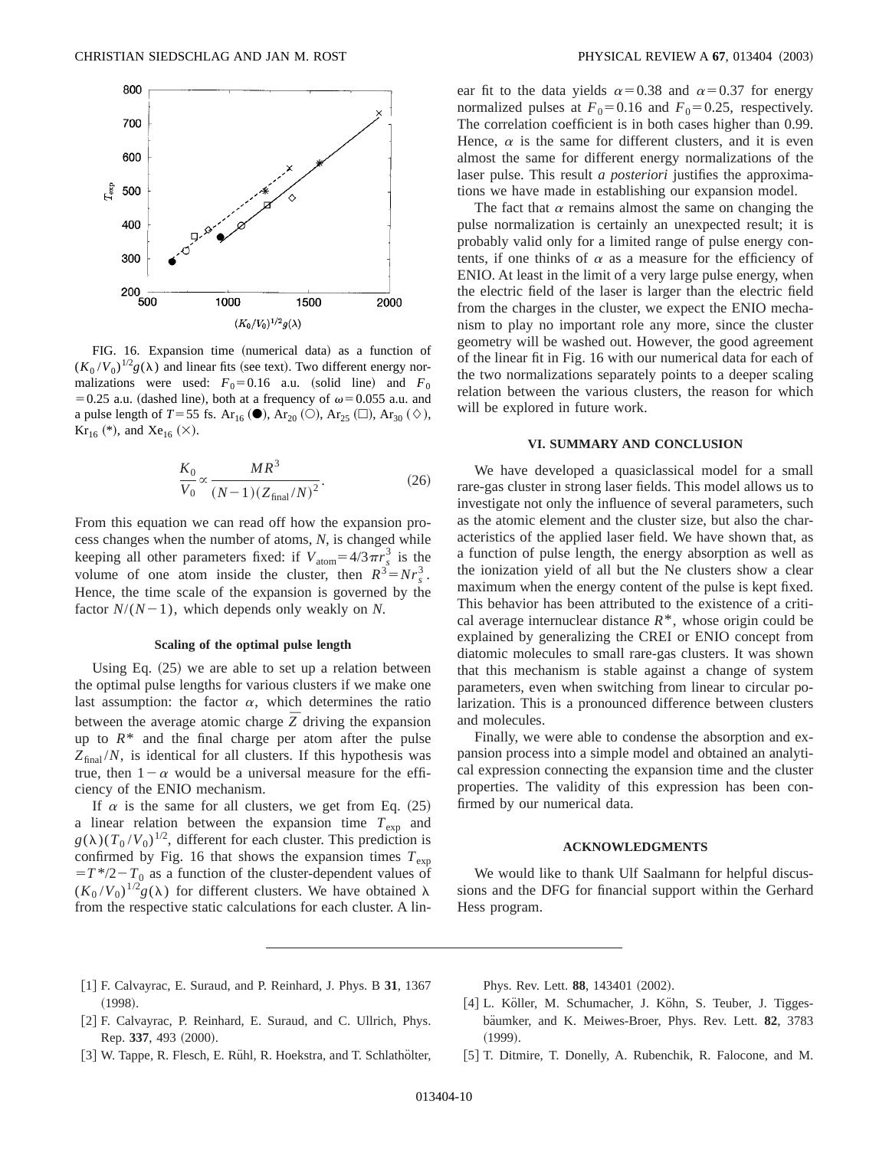

FIG. 16. Expansion time (numerical data) as a function of  $(K_0/V_0)^{1/2}g(\lambda)$  and linear fits (see text). Two different energy normalizations were used:  $F_0=0.16$  a.u. (solid line) and  $F_0$ = 0.25 a.u. (dashed line), both at a frequency of  $\omega$ = 0.055 a.u. and a pulse length of *T* = 55 fs. Ar<sub>16</sub> ( $\bullet$ ), Ar<sub>20</sub> ( $\circ$ ), Ar<sub>25</sub> ( $\Box$ ), Ar<sub>30</sub> ( $\diamondsuit$ ),  $Kr_{16}$  (\*), and  $Xe_{16}$  ( $\times$ ).

$$
\frac{K_0}{V_0} \propto \frac{MR^3}{(N-1)(Z_{\text{final}}/N)^2}.
$$
 (26)

From this equation we can read off how the expansion process changes when the number of atoms, *N*, is changed while keeping all other parameters fixed: if  $V_{\text{atom}} = 4/3\pi r_s^3$  is the volume of one atom inside the cluster, then  $R^3 = Nr_s^3$ . Hence, the time scale of the expansion is governed by the factor  $N/(N-1)$ , which depends only weakly on N.

#### **Scaling of the optimal pulse length**

Using Eq.  $(25)$  we are able to set up a relation between the optimal pulse lengths for various clusters if we make one last assumption: the factor  $\alpha$ , which determines the ratio between the average atomic charge  $\overline{Z}$  driving the expansion up to  $R^*$  and the final charge per atom after the pulse  $Z_{\text{final}}/N$ , is identical for all clusters. If this hypothesis was true, then  $1-\alpha$  would be a universal measure for the efficiency of the ENIO mechanism.

If  $\alpha$  is the same for all clusters, we get from Eq. (25) a linear relation between the expansion time  $T_{\text{exp}}$  and  $g(\lambda)(T_0/V_0)^{1/2}$ , different for each cluster. This prediction is confirmed by Fig. 16 that shows the expansion times  $T_{\text{exp}}$  $T^*/2 - T_0$  as a function of the cluster-dependent values of  $(K_0/V_0)^{1/2}g(\lambda)$  for different clusters. We have obtained  $\lambda$ from the respective static calculations for each cluster. A linear fit to the data yields  $\alpha=0.38$  and  $\alpha=0.37$  for energy normalized pulses at  $F_0$ =0.16 and  $F_0$ =0.25, respectively. The correlation coefficient is in both cases higher than 0.99. Hence,  $\alpha$  is the same for different clusters, and it is even almost the same for different energy normalizations of the laser pulse. This result *a posteriori* justifies the approximations we have made in establishing our expansion model.

The fact that  $\alpha$  remains almost the same on changing the pulse normalization is certainly an unexpected result; it is probably valid only for a limited range of pulse energy contents, if one thinks of  $\alpha$  as a measure for the efficiency of ENIO. At least in the limit of a very large pulse energy, when the electric field of the laser is larger than the electric field from the charges in the cluster, we expect the ENIO mechanism to play no important role any more, since the cluster geometry will be washed out. However, the good agreement of the linear fit in Fig. 16 with our numerical data for each of the two normalizations separately points to a deeper scaling relation between the various clusters, the reason for which will be explored in future work.

#### **VI. SUMMARY AND CONCLUSION**

We have developed a quasiclassical model for a small rare-gas cluster in strong laser fields. This model allows us to investigate not only the influence of several parameters, such as the atomic element and the cluster size, but also the characteristics of the applied laser field. We have shown that, as a function of pulse length, the energy absorption as well as the ionization yield of all but the Ne clusters show a clear maximum when the energy content of the pulse is kept fixed. This behavior has been attributed to the existence of a critical average internuclear distance *R*\*, whose origin could be explained by generalizing the CREI or ENIO concept from diatomic molecules to small rare-gas clusters. It was shown that this mechanism is stable against a change of system parameters, even when switching from linear to circular polarization. This is a pronounced difference between clusters and molecules.

Finally, we were able to condense the absorption and expansion process into a simple model and obtained an analytical expression connecting the expansion time and the cluster properties. The validity of this expression has been confirmed by our numerical data.

### **ACKNOWLEDGMENTS**

We would like to thank Ulf Saalmann for helpful discussions and the DFG for financial support within the Gerhard Hess program.

@1# F. Calvayrac, E. Suraud, and P. Reinhard, J. Phys. B **31**, 1367  $(1998).$ 

Phys. Rev. Lett. 88, 143401 (2002).

- [2] F. Calvayrac, P. Reinhard, E. Suraud, and C. Ullrich, Phys. Rep. 337, 493 (2000).  $(1999).$
- [3] W. Tappe, R. Flesch, E. Rühl, R. Hoekstra, and T. Schlathölter,
- [4] L. Köller, M. Schumacher, J. Köhn, S. Teuber, J. Tiggesbäumker, and K. Meiwes-Broer, Phys. Rev. Lett. 82, 3783
- [5] T. Ditmire, T. Donelly, A. Rubenchik, R. Falocone, and M.